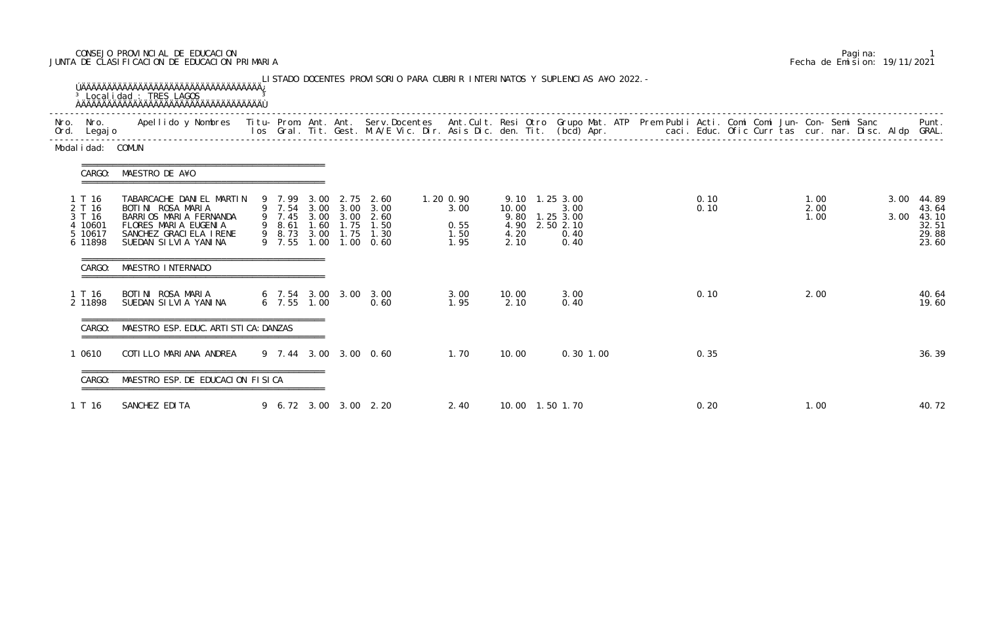## CONSEJO PROVINCIAL DE EDUCACION Pagina: 1 JUNTA DE CLASIFICACION DE EDUCACION PRIMARIA Fecha de Emision: 19/11/2021

| Ord. Legajo                                                 |                                                                                                                                                     |                                      |      |                                |                                                                                                |                                           |                                                                             |                      |  |              |  |                      |  |              |                                                    |
|-------------------------------------------------------------|-----------------------------------------------------------------------------------------------------------------------------------------------------|--------------------------------------|------|--------------------------------|------------------------------------------------------------------------------------------------|-------------------------------------------|-----------------------------------------------------------------------------|----------------------|--|--------------|--|----------------------|--|--------------|----------------------------------------------------|
| Modal i dad: COMUN                                          |                                                                                                                                                     |                                      |      |                                |                                                                                                |                                           |                                                                             |                      |  |              |  |                      |  |              |                                                    |
| CARGO:                                                      | MAESTRO DE A¥O                                                                                                                                      |                                      |      |                                |                                                                                                |                                           |                                                                             |                      |  |              |  |                      |  |              |                                                    |
| 1 T 16<br>2 T 16<br>3 T 16<br>4 10601<br>5 10617<br>6 11898 | TABARCACHE DANIEL MARTIN<br>BOTINI ROSA MARIA<br>BARRIOS MARIA FERNANDA<br>FLORES MARIA EUGENIA<br>SANCHEZ GRACI ELA I RENE<br>SUEDAN SILVIA YANINA | 9 7.99<br>9 7.45<br>9 8.61<br>9 7.55 | 3.00 | 2.75<br>3.00 3.00<br>1.60 1.75 | 2.60<br>9 7.54 3.00 3.00 3.00<br>2.60<br>1.50<br>9 8.73 3.00 1.75 1.30<br>$1,00$ $1,00$ $0,60$ | 1.20 0.90<br>3.00<br>0.55<br>1.50<br>1.95 | 9.10 1.25 3.00<br>10.00<br>9.80 1.25 3.00<br>4.90 2.50 2.10<br>4.20<br>2.10 | 3.00<br>0.40<br>0.40 |  | 0.10<br>0.10 |  | 1.00<br>2.00<br>1.00 |  | 3.00<br>3.00 | 44.89<br>43.64<br>43.10<br>32.51<br>29.88<br>23.60 |
| CARGO:                                                      | MAESTRO INTERNADO                                                                                                                                   |                                      |      |                                |                                                                                                |                                           |                                                                             |                      |  |              |  |                      |  |              |                                                    |
| 1 T 16<br>2 11898                                           | BOTINI ROSA MARIA<br>SUEDAN SILVIA YANINA                                                                                                           | $6$ 7.55 1.00                        |      |                                | 6 7.54 3.00 3.00 3.00<br>0.60                                                                  | 3.00<br>1.95                              | 10.00<br>2.10                                                               | 3.00<br>0.40         |  | 0.10         |  | 2.00                 |  |              | 40.64<br>19.60                                     |
| CARGO:                                                      | MAESTRO ESP. EDUC. ARTI STI CA: DANZAS                                                                                                              |                                      |      |                                |                                                                                                |                                           |                                                                             |                      |  |              |  |                      |  |              |                                                    |
| 0610                                                        | COTI LLO MARI ANA ANDREA                                                                                                                            |                                      |      |                                | 9 7.44 3.00 3.00 0.60                                                                          | 1.70                                      | 10.00                                                                       | 0.30 1.00            |  | 0.35         |  |                      |  |              | 36.39                                              |
| CARGO:                                                      | MAESTRO ESP. DE EDUCACION FISICA                                                                                                                    | ===========                          |      |                                |                                                                                                |                                           |                                                                             |                      |  |              |  |                      |  |              |                                                    |
| 1 T 16                                                      | SANCHEZ EDITA                                                                                                                                       |                                      |      |                                | 9 6.72 3.00 3.00 2.20                                                                          | 2.40                                      | 10.00  1.50  1.70                                                           |                      |  | 0.20         |  | 1.00                 |  |              | 40.72                                              |

|  | Pagi na: |                              |
|--|----------|------------------------------|
|  |          | Fecha de Emision: 19/11/2021 |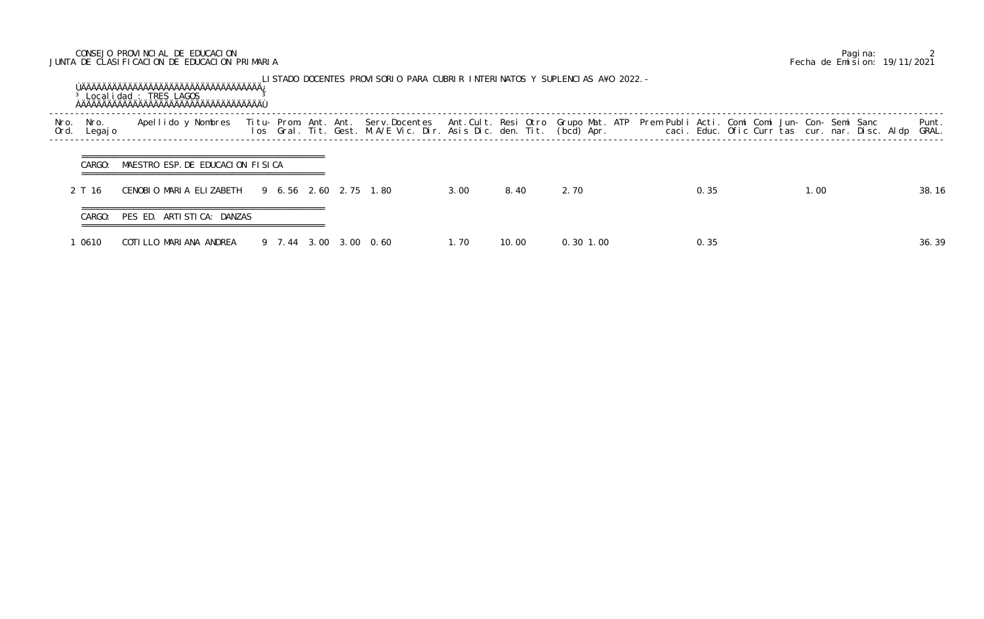## CONSEJO PROVINCIAL DE EDUCACION Pagina: 2 JUNTA DE CLASIFICACION DE EDUCACION PRIMARIA Fecha de Emision: 19/11/2021

|              |                 | <sup>3</sup> Local i dad : TRES LAGOS                           |  |  |                       |      |       | LISTADO DOCENTES PROVISORIO PARA CUBRIR INTERINATOS Y SUPLENCIAS A¥O 2022. - |      |                                                                                                                                                                                                                                   |                |
|--------------|-----------------|-----------------------------------------------------------------|--|--|-----------------------|------|-------|------------------------------------------------------------------------------|------|-----------------------------------------------------------------------------------------------------------------------------------------------------------------------------------------------------------------------------------|----------------|
| Nro.<br>Ord. | Nro.<br>Legaj o | Apellido y Nombres                                              |  |  |                       |      |       |                                                                              |      | Titu- Prom. Ant. Ant. Serv.Docentes  Ant.Cult. Resi Otro Grupo Mat. ATP  Prem Publi Acti. Comi Comi Jun- Con- Semi Sanc<br>Ios  Gral. Tit. Gest. M.A/E Vic. Dir. Asis Dic. den. Tit. (bcd) Apr.                caci. Educ. Ofic C | Punt.<br>GRAL. |
|              | CARGO:          | MAESTRO ESP. DE EDUCACION FISICA                                |  |  |                       |      |       |                                                                              |      |                                                                                                                                                                                                                                   |                |
|              | 2 T 16          | CENOBIO MARIA ELIZABETH                                         |  |  | 9 6.56 2.60 2.75 1.80 | 3.00 | 8.40  | 2.70                                                                         | 0.35 | 1.00                                                                                                                                                                                                                              | 38.16          |
|              | CARGO:          | ==================================<br>PES ED. ARTISTICA: DANZAS |  |  |                       |      |       |                                                                              |      |                                                                                                                                                                                                                                   |                |
|              | l 0610          | COTILLO MARIANA ANDREA                                          |  |  | 9 7.44 3.00 3.00 0.60 | 1.70 | 10.00 | $0.30$ 1.00                                                                  | 0.35 |                                                                                                                                                                                                                                   | 36.39          |